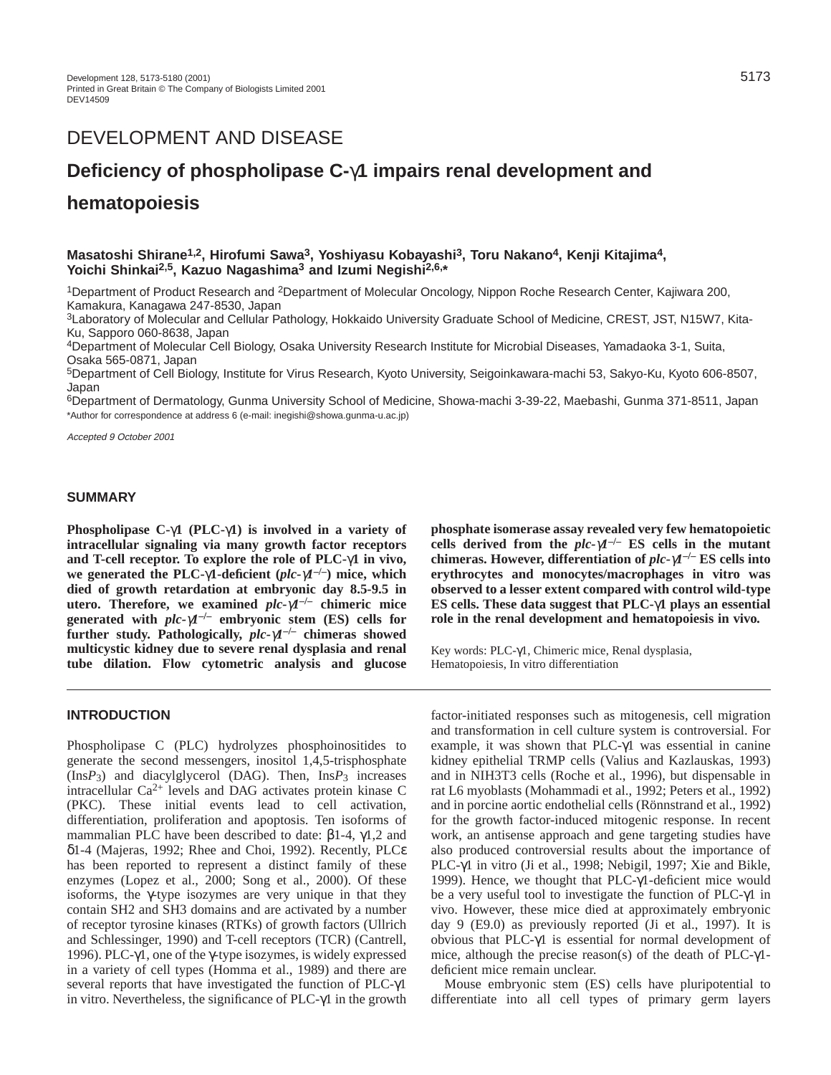# DEVELOPMENT AND DISEASE

# **Deficiency of phospholipase C-**γ**1 impairs renal development and**

# **hematopoiesis**

# **Masatoshi Shirane1,2, Hirofumi Sawa3, Yoshiyasu Kobayashi3, Toru Nakano4, Kenji Kitajima4, Yoichi Shinkai2,5, Kazuo Nagashima3 and Izumi Negishi2,6,\***

1Department of Product Research and 2Department of Molecular Oncology, Nippon Roche Research Center, Kajiwara 200, Kamakura, Kanagawa 247-8530, Japan

3Laboratory of Molecular and Cellular Pathology, Hokkaido University Graduate School of Medicine, CREST, JST, N15W7, Kita-Ku, Sapporo 060-8638, Japan

4Department of Molecular Cell Biology, Osaka University Research Institute for Microbial Diseases, Yamadaoka 3-1, Suita, Osaka 565-0871, Japan

5Department of Cell Biology, Institute for Virus Research, Kyoto University, Seigoinkawara-machi 53, Sakyo-Ku, Kyoto 606-8507, Japan

6Department of Dermatology, Gunma University School of Medicine, Showa-machi 3-39-22, Maebashi, Gunma 371-8511, Japan \*Author for correspondence at address 6 (e-mail: inegishi@showa.gunma-u.ac.jp)

Accepted 9 October 2001

## **SUMMARY**

**Phospholipase C-**γ**1 (PLC-**γ**1) is involved in a variety of intracellular signaling via many growth factor receptors and T-cell receptor. To explore the role of PLC-**γ**1 in vivo, we generated the PLC-**γ**1-deficient (***plc-*γ*1***–/–) mice, which died of growth retardation at embryonic day 8.5-9.5 in utero. Therefore, we examined** *plc-*γ*1***–/– chimeric mice generated with** *plc-*γ*1***–/– embryonic stem (ES) cells for further study. Pathologically,** *plc-*γ*1***–/– chimeras showed multicystic kidney due to severe renal dysplasia and renal tube dilation. Flow cytometric analysis and glucose**

## **INTRODUCTION**

Phospholipase C (PLC) hydrolyzes phosphoinositides to generate the second messengers, inositol 1,4,5-trisphosphate (Ins*P*3) and diacylglycerol (DAG). Then, Ins*P*3 increases intracellular Ca2+ levels and DAG activates protein kinase C (PKC). These initial events lead to cell activation, differentiation, proliferation and apoptosis. Ten isoforms of mammalian PLC have been described to date: β1-4, γ1,2 and δ1-4 (Majeras, 1992; Rhee and Choi, 1992). Recently, PLCε has been reported to represent a distinct family of these enzymes (Lopez et al., 2000; Song et al., 2000). Of these isoforms, the  $\gamma$ -type isozymes are very unique in that they contain SH2 and SH3 domains and are activated by a number of receptor tyrosine kinases (RTKs) of growth factors (Ullrich and Schlessinger, 1990) and T-cell receptors (TCR) (Cantrell, 1996). PLC-γ1, one of the γ-type isozymes, is widely expressed in a variety of cell types (Homma et al., 1989) and there are several reports that have investigated the function of PLC-γ1 in vitro. Nevertheless, the significance of  $PLC-\gamma1$  in the growth **phosphate isomerase assay revealed very few hematopoietic** cells derived from the  $plc$ - $\gamma$ <sup>-/-</sup> ES cells in the mutant **chimeras. However, differentiation of** *plc-*γ*1***–/– ES cells into erythrocytes and monocytes/macrophages in vitro was observed to a lesser extent compared with control wild-type ES cells. These data suggest that PLC-**γ**1 plays an essential role in the renal development and hematopoiesis in vivo***.*

Key words: PLC-γ1, Chimeric mice, Renal dysplasia, Hematopoiesis, In vitro differentiation

factor-initiated responses such as mitogenesis, cell migration and transformation in cell culture system is controversial. For example, it was shown that PLC- $\gamma$ 1 was essential in canine kidney epithelial TRMP cells (Valius and Kazlauskas, 1993) and in NIH3T3 cells (Roche et al., 1996), but dispensable in rat L6 myoblasts (Mohammadi et al., 1992; Peters et al., 1992) and in porcine aortic endothelial cells (Rönnstrand et al., 1992) for the growth factor-induced mitogenic response. In recent work, an antisense approach and gene targeting studies have also produced controversial results about the importance of PLC-γ1 in vitro (Ji et al., 1998; Nebigil, 1997; Xie and Bikle, 1999). Hence, we thought that PLC-γ1-deficient mice would be a very useful tool to investigate the function of PLC-γ1 in vivo. However, these mice died at approximately embryonic day 9 (E9.0) as previously reported (Ji et al., 1997). It is obvious that PLC-γ1 is essential for normal development of mice, although the precise reason(s) of the death of PLC-γ1 deficient mice remain unclear.

Mouse embryonic stem (ES) cells have pluripotential to differentiate into all cell types of primary germ layers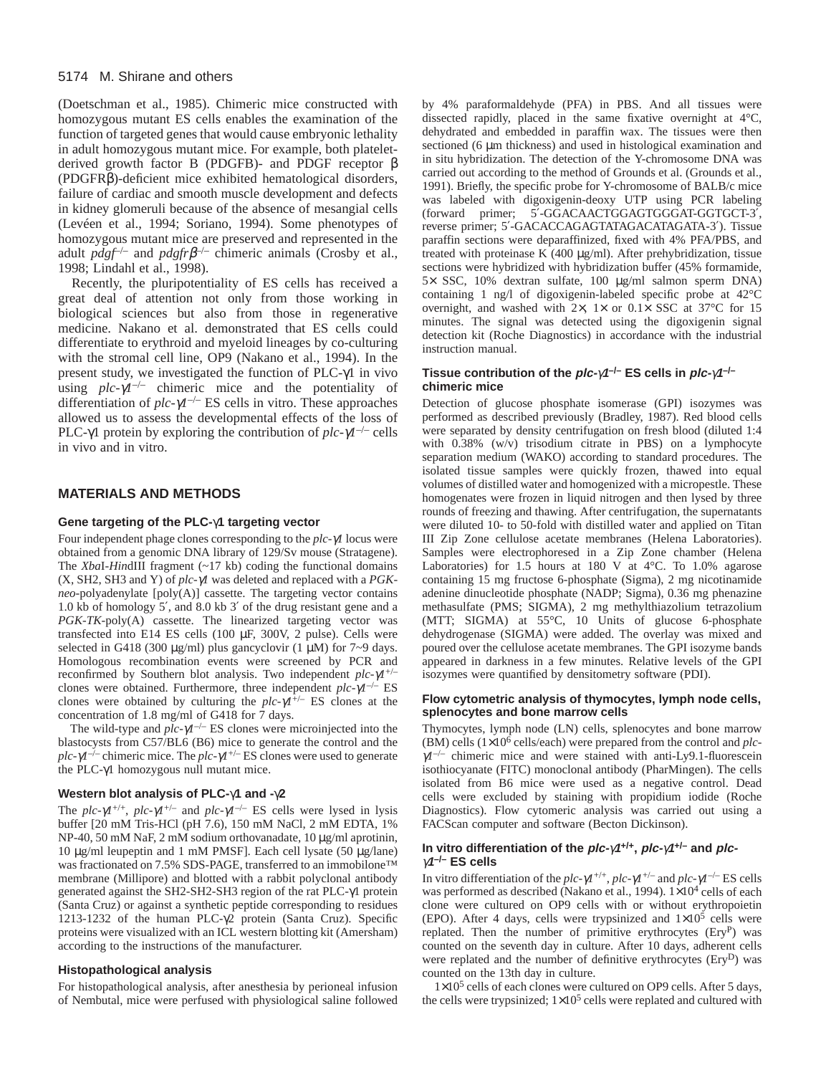#### 5174 M. Shirane and others

(Doetschman et al., 1985). Chimeric mice constructed with homozygous mutant ES cells enables the examination of the function of targeted genes that would cause embryonic lethality in adult homozygous mutant mice. For example, both plateletderived growth factor B (PDGFB)- and PDGF receptor β (PDGFRβ)-deficient mice exhibited hematological disorders, failure of cardiac and smooth muscle development and defects in kidney glomeruli because of the absence of mesangial cells (Levéen et al., 1994; Soriano, 1994). Some phenotypes of homozygous mutant mice are preserved and represented in the adult  $p\,q\,g\,f^{-/-}$  and  $p\,q\,g\,f\,f^{-/-}$  chimeric animals (Crosby et al., 1998; Lindahl et al., 1998).

Recently, the pluripotentiality of ES cells has received a great deal of attention not only from those working in biological sciences but also from those in regenerative medicine. Nakano et al. demonstrated that ES cells could differentiate to erythroid and myeloid lineages by co-culturing with the stromal cell line, OP9 (Nakano et al., 1994). In the present study, we investigated the function of PLC-γ1 in vivo using  $plc-\gamma l^{-/-}$  chimeric mice and the potentiality of differentiation of *plc-*γ*1*–/– ES cells in vitro. These approaches allowed us to assess the developmental effects of the loss of PLC-γ1 protein by exploring the contribution of *plc-*γ*1*–/– cells in vivo and in vitro.

#### **MATERIALS AND METHODS**

#### **Gene targeting of the PLC-**γ**1 targeting vector**

Four independent phage clones corresponding to the *plc-*γ*1* locus were obtained from a genomic DNA library of 129/Sv mouse (Stratagene). The *Xba*I-*Hin*dIII fragment (~17 kb) coding the functional domains (X, SH2, SH3 and Y) of *plc-*γ*1* was deleted and replaced with a *PGKneo*-polyadenylate [poly(A)] cassette. The targeting vector contains 1.0 kb of homology 5′, and 8.0 kb 3′ of the drug resistant gene and a *PGK-TK*-poly(A) cassette. The linearized targeting vector was transfected into E14 ES cells (100 µF, 300V, 2 pulse). Cells were selected in G418 (300  $\mu$ g/ml) plus gancyclovir (1  $\mu$ M) for 7~9 days. Homologous recombination events were screened by PCR and reconfirmed by Southern blot analysis. Two independent *plc-*γ*1*+/– clones were obtained. Furthermore, three independent *plc-*γ*1*–/– ES clones were obtained by culturing the *plc-*γ*1*+/– ES clones at the concentration of 1.8 mg/ml of G418 for 7 days.

The wild-type and  $plc-\gamma l^{-/-}$  ES clones were microinjected into the blastocysts from C57/BL6 (B6) mice to generate the control and the *plc-*γ*1*–/– chimeric mice. The *plc-*γ*1*+/– ES clones were used to generate the PLC-γ1 homozygous null mutant mice.

#### **Western blot analysis of PLC-**γ**1 and -**γ**2**

The *plc-* $\gamma$ *I*<sup>+/+</sup>, *plc-* $\gamma$ *I*<sup>+/-</sup> and *plc-* $\gamma$ *I*<sup>-/-</sup> ES cells were lysed in lysis buffer [20 mM Tris-HCl (pH 7.6), 150 mM NaCl, 2 mM EDTA, 1% NP-40, 50 mM NaF, 2 mM sodium orthovanadate, 10 µg/ml aprotinin, 10 µg/ml leupeptin and 1 mM PMSF]. Each cell lysate (50 µg/lane) was fractionated on 7.5% SDS-PAGE, transferred to an immobilone™ membrane (Millipore) and blotted with a rabbit polyclonal antibody generated against the SH2-SH2-SH3 region of the rat PLC-γ1 protein (Santa Cruz) or against a synthetic peptide corresponding to residues 1213-1232 of the human PLC-γ2 protein (Santa Cruz). Specific proteins were visualized with an ICL western blotting kit (Amersham) according to the instructions of the manufacturer.

#### **Histopathological analysis**

For histopathological analysis, after anesthesia by perioneal infusion of Nembutal, mice were perfused with physiological saline followed by 4% paraformaldehyde (PFA) in PBS. And all tissues were dissected rapidly, placed in the same fixative overnight at 4°C, dehydrated and embedded in paraffin wax. The tissues were then sectioned (6 µm thickness) and used in histological examination and in situ hybridization. The detection of the Y-chromosome DNA was carried out according to the method of Grounds et al. (Grounds et al., 1991). Briefly, the specific probe for Y-chromosome of BALB/c mice was labeled with digoxigenin-deoxy UTP using PCR labeling (forward primer; 5′-GGACAACTGGAGTGGGAT-GGTGCT-3′, reverse primer; 5′-GACACCAGAGTATAGACATAGATA-3′). Tissue paraffin sections were deparaffinized, fixed with 4% PFA/PBS, and treated with proteinase K (400 µg/ml). After prehybridization, tissue sections were hybridized with hybridization buffer (45% formamide, 5× SSC, 10% dextran sulfate, 100 µg/ml salmon sperm DNA) containing 1 ng/l of digoxigenin-labeled specific probe at 42°C overnight, and washed with  $2 \times$ ,  $1 \times$  or  $0.1 \times$  SSC at 37°C for 15 minutes. The signal was detected using the digoxigenin signal detection kit (Roche Diagnostics) in accordance with the industrial instruction manual.

#### **Tissue contribution of the plc-**γ**1–/– ES cells in plc-**γ**1–/– chimeric mice**

Detection of glucose phosphate isomerase (GPI) isozymes was performed as described previously (Bradley, 1987). Red blood cells were separated by density centrifugation on fresh blood (diluted 1:4 with 0.38% (w/v) trisodium citrate in PBS) on a lymphocyte separation medium (WAKO) according to standard procedures. The isolated tissue samples were quickly frozen, thawed into equal volumes of distilled water and homogenized with a micropestle. These homogenates were frozen in liquid nitrogen and then lysed by three rounds of freezing and thawing. After centrifugation, the supernatants were diluted 10- to 50-fold with distilled water and applied on Titan III Zip Zone cellulose acetate membranes (Helena Laboratories). Samples were electrophoresed in a Zip Zone chamber (Helena Laboratories) for 1.5 hours at 180 V at 4°C. To 1.0% agarose containing 15 mg fructose 6-phosphate (Sigma), 2 mg nicotinamide adenine dinucleotide phosphate (NADP; Sigma), 0.36 mg phenazine methasulfate (PMS; SIGMA), 2 mg methylthiazolium tetrazolium (MTT; SIGMA) at 55°C, 10 Units of glucose 6-phosphate dehydrogenase (SIGMA) were added. The overlay was mixed and poured over the cellulose acetate membranes. The GPI isozyme bands appeared in darkness in a few minutes. Relative levels of the GPI isozymes were quantified by densitometry software (PDI).

#### **Flow cytometric analysis of thymocytes, lymph node cells, splenocytes and bone marrow cells**

Thymocytes, lymph node (LN) cells, splenocytes and bone marrow (BM) cells (1×10<sup>6</sup> cells/each) were prepared from the control and *plc-* $\gamma l^{-/-}$  chimeric mice and were stained with anti-Ly9.1-fluorescein isothiocyanate (FITC) monoclonal antibody (PharMingen). The cells isolated from B6 mice were used as a negative control. Dead cells were excluded by staining with propidium iodide (Roche Diagnostics). Flow cytomeric analysis was carried out using a FACScan computer and software (Becton Dickinson).

#### **In vitro differentiation of the plc-**γ**<sup>1</sup>+/+, plc-**γ**1+/– and plc**<sup>γ</sup>**1–/– ES cells**

In vitro differentiation of the *plc-*γ*1*+/+, *plc-*γ*1*+/– and *plc-*γ*1*–/– ES cells was performed as described (Nakano et al., 1994).  $1 \times 10^4$  cells of each clone were cultured on OP9 cells with or without erythropoietin (EPO). After 4 days, cells were trypsinized and  $1\times10^5$  cells were replated. Then the number of primitive erythrocytes (EryP) was counted on the seventh day in culture. After 10 days, adherent cells were replated and the number of definitive erythrocytes (EryD) was counted on the 13th day in culture.

1×10<sup>5</sup> cells of each clones were cultured on OP9 cells. After 5 days, the cells were trypsinized;  $1 \times 10^5$  cells were replated and cultured with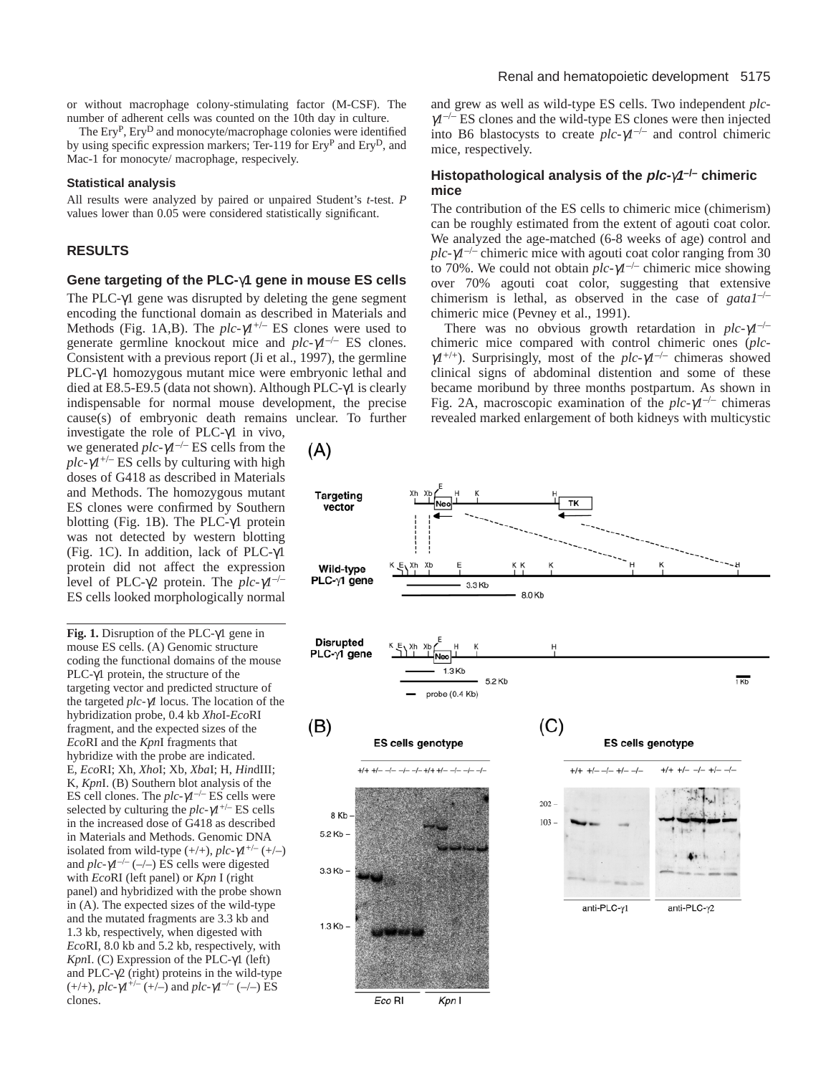The Ery<sup>P</sup>, Ery<sup>D</sup> and monocyte/macrophage colonies were identified by using specific expression markers; Ter-119 for Ery<sup>P</sup> and EryD, and Mac-1 for monocyte/ macrophage, respecively.

#### **Statistical analysis**

All results were analyzed by paired or unpaired Student's *t*-test. *P* values lower than 0.05 were considered statistically significant.

#### **RESULTS**

#### **Gene targeting of the PLC-**γ**1 gene in mouse ES cells**

The PLC-γ1 gene was disrupted by deleting the gene segment encoding the functional domain as described in Materials and Methods (Fig. 1A,B). The *plc-*γ*1*+/– ES clones were used to generate germline knockout mice and *plc-*γ*1*–/– ES clones. Consistent with a previous report (Ji et al., 1997), the germline PLC-γ1 homozygous mutant mice were embryonic lethal and died at E8.5-E9.5 (data not shown). Although PLC-γ1 is clearly indispensable for normal mouse development, the precise cause(s) of embryonic death remains unclear. To further

investigate the role of PLC-γ1 in vivo, we generated *plc-*γ*1*–/– ES cells from the  $plc-\gamma l^{+/-}$  ES cells by culturing with high doses of G418 as described in Materials and Methods. The homozygous mutant ES clones were confirmed by Southern blotting (Fig. 1B). The PLC-γ1 protein was not detected by western blotting (Fig. 1C). In addition, lack of PLC-γ1 protein did not affect the expression level of PLC-γ2 protein. The *plc-*γ*1*–/– ES cells looked morphologically normal

**Fig. 1.** Disruption of the PLC-γ1 gene in mouse ES cells. (A) Genomic structure coding the functional domains of the mouse PLC-γ1 protein, the structure of the targeting vector and predicted structure of the targeted *plc-*γ*1* locus. The location of the hybridization probe, 0.4 kb *Xho*I-*Eco*RI fragment, and the expected sizes of the *Eco*RI and the *Kpn*I fragments that hybridize with the probe are indicated. E, *Eco*RI; Xh, *Xho*I; Xb, *Xba*I; H, *Hin*dIII; K, *Kpn*I. (B) Southern blot analysis of the ES cell clones. The  $plc-\gamma l^{-/-}$  ES cells were selected by culturing the  $plc-\gamma l^{+/-}$  ES cells in the increased dose of G418 as described in Materials and Methods. Genomic DNA isolated from wild-type  $(+/+)$ ,  $plc-\gamma l^{+/-} (+/-)$ and  $plc-\gamma l^{-/-}$  (-/-) ES cells were digested with *Eco*RI (left panel) or *Kpn* I (right panel) and hybridized with the probe shown in (A). The expected sizes of the wild-type and the mutated fragments are 3.3 kb and 1.3 kb, respectively, when digested with *Eco*RI, 8.0 kb and 5.2 kb, respectively, with *Kpn*I. (C) Expression of the PLC-γ1 (left) and PLC- $\gamma$ 2 (right) proteins in the wild-type (+/+), *plc-*γ*1*+/– (+/–) and *plc-*γ*1*–/– (–/–) ES clones.

 $(A)$ 

and grew as well as wild-type ES cells. Two independent *plc*<sup>γ</sup>*1*–/– ES clones and the wild-type ES clones were then injected into B6 blastocysts to create  $plc-\gamma l^{-/-}$  and control chimeric mice, respectively.

## **Histopathological analysis of the plc-**γ**1–/– chimeric mice**

The contribution of the ES cells to chimeric mice (chimerism) can be roughly estimated from the extent of agouti coat color. We analyzed the age-matched (6-8 weeks of age) control and  $plc-\gamma l^{-/-}$  chimeric mice with agouti coat color ranging from 30 to 70%. We could not obtain *plc-*γ*1*–/– chimeric mice showing over 70% agouti coat color, suggesting that extensive chimerism is lethal, as observed in the case of *gata1*–/– chimeric mice (Pevney et al., 1991).

There was no obvious growth retardation in *plc-*γ*1*–/– chimeric mice compared with control chimeric ones (*plc*<sup>γ</sup>*1*+/+). Surprisingly, most of the *plc-*γ*1*–/– chimeras showed clinical signs of abdominal distention and some of these became moribund by three months postpartum. As shown in Fig. 2A, macroscopic examination of the *plc-*γ*1*–/– chimeras revealed marked enlargement of both kidneys with multicystic

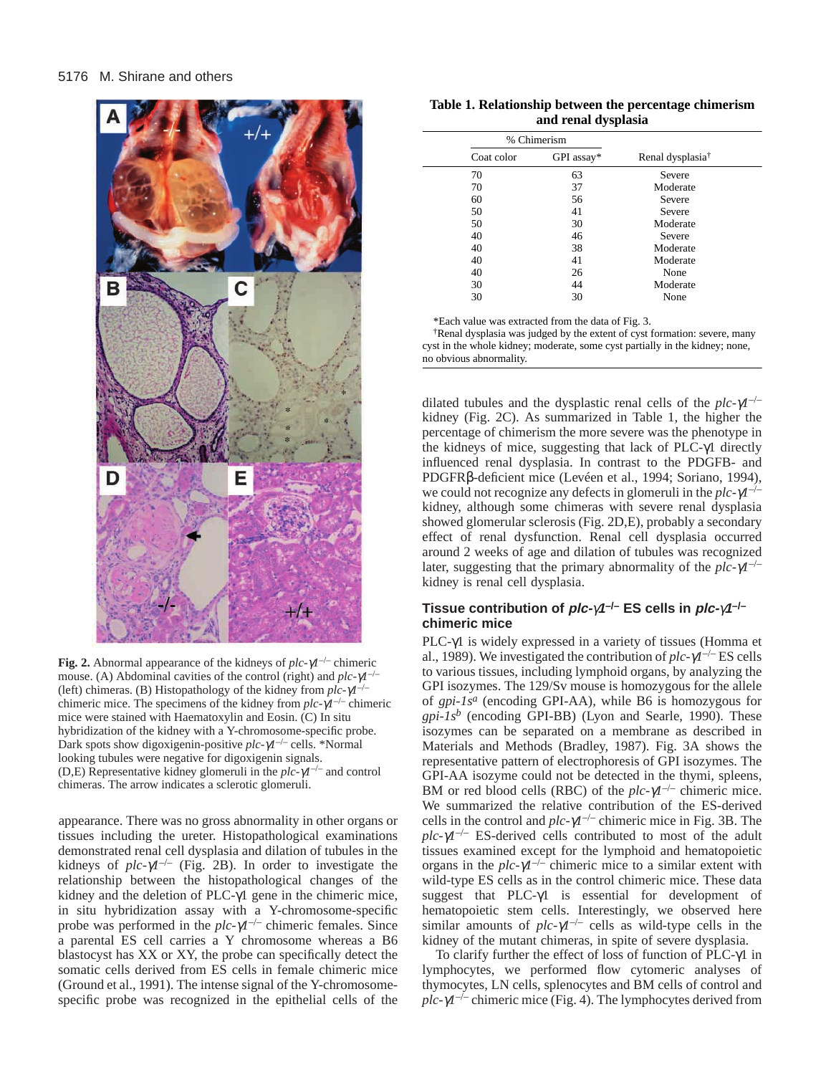

**Fig. 2.** Abnormal appearance of the kidneys of *plc-*γ*1*–/– chimeric mouse. (A) Abdominal cavities of the control (right) and *plc-*γ*1*–/– (left) chimeras. (B) Histopathology of the kidney from *plc-*γ*1*–/– chimeric mice. The specimens of the kidney from  $plc$ - $\gamma l^{-/-}$  chimeric mice were stained with Haematoxylin and Eosin. (C) In situ hybridization of the kidney with a Y-chromosome-specific probe. Dark spots show digoxigenin-positive *plc-*γ*1*–/– cells. \*Normal looking tubules were negative for digoxigenin signals. (D,E) Representative kidney glomeruli in the *plc-*γ*1*–/– and control chimeras. The arrow indicates a sclerotic glomeruli.

appearance. There was no gross abnormality in other organs or tissues including the ureter. Histopathological examinations demonstrated renal cell dysplasia and dilation of tubules in the kidneys of  $plc-\gamma l^{-/-}$  (Fig. 2B). In order to investigate the relationship between the histopathological changes of the kidney and the deletion of PLC-γ1 gene in the chimeric mice, in situ hybridization assay with a Y-chromosome-specific probe was performed in the *plc-*γ*1*–/– chimeric females. Since a parental ES cell carries a Y chromosome whereas a B6 blastocyst has XX or XY, the probe can specifically detect the somatic cells derived from ES cells in female chimeric mice (Ground et al., 1991). The intense signal of the Y-chromosomespecific probe was recognized in the epithelial cells of the

| Table 1. Relationship between the percentage chimerism |  |  |  |  |
|--------------------------------------------------------|--|--|--|--|
| and renal dysplasia                                    |  |  |  |  |

|    | % Chimerism |            |                              |
|----|-------------|------------|------------------------------|
|    | Coat color  | GPI assay* | Renal dysplasia <sup>†</sup> |
| 70 |             | 63         | Severe                       |
| 70 |             | 37         | Moderate                     |
| 60 |             | 56         | Severe                       |
| 50 |             | 41         | Severe                       |
| 50 |             | 30         | Moderate                     |
| 40 |             | 46         | Severe                       |
| 40 |             | 38         | Moderate                     |
| 40 |             | 41         | Moderate                     |
| 40 |             | 26         | None                         |
| 30 |             | 44         | Moderate                     |
| 30 |             | 30         | None                         |

\*Each value was extracted from the data of Fig. 3.

†Renal dysplasia was judged by the extent of cyst formation: severe, many cyst in the whole kidney; moderate, some cyst partially in the kidney; none, no obvious abnormality.

dilated tubules and the dysplastic renal cells of the *plc-*γ*1*–/– kidney (Fig. 2C). As summarized in Table 1, the higher the percentage of chimerism the more severe was the phenotype in the kidneys of mice, suggesting that lack of PLC-γ1 directly influenced renal dysplasia. In contrast to the PDGFB- and PDGFRβ-deficient mice (Levéen et al., 1994; Soriano, 1994), we could not recognize any defects in glomeruli in the *plc-*γ*1*–/– kidney, although some chimeras with severe renal dysplasia showed glomerular sclerosis (Fig. 2D,E), probably a secondary effect of renal dysfunction. Renal cell dysplasia occurred around 2 weeks of age and dilation of tubules was recognized later, suggesting that the primary abnormality of the *plc-*γ*1*–/– kidney is renal cell dysplasia.

# **Tissue contribution of plc-**γ**1–/– ES cells in plc-**γ**1–/– chimeric mice**

PLC-γ1 is widely expressed in a variety of tissues (Homma et al., 1989). We investigated the contribution of  $plc-\gamma l^{-/-}$  ES cells to various tissues, including lymphoid organs, by analyzing the GPI isozymes. The 129/Sv mouse is homozygous for the allele of *gpi-1s<sup>a</sup>* (encoding GPI-AA), while B6 is homozygous for  $gpi\text{-}Is^b$  (encoding GPI-BB) (Lyon and Searle, 1990). These isozymes can be separated on a membrane as described in Materials and Methods (Bradley, 1987). Fig. 3A shows the representative pattern of electrophoresis of GPI isozymes. The GPI-AA isozyme could not be detected in the thymi, spleens, BM or red blood cells (RBC) of the  $plc-\gamma l^{-/-}$  chimeric mice. We summarized the relative contribution of the ES-derived cells in the control and *plc-*γ*1*–/– chimeric mice in Fig. 3B. The *plc-*γ*1*–/– ES-derived cells contributed to most of the adult tissues examined except for the lymphoid and hematopoietic organs in the  $plc-\gamma l^{-/-}$  chimeric mice to a similar extent with wild-type ES cells as in the control chimeric mice. These data suggest that PLC-γ1 is essential for development of hematopoietic stem cells. Interestingly, we observed here similar amounts of  $plc-\gamma l^{-/-}$  cells as wild-type cells in the kidney of the mutant chimeras, in spite of severe dysplasia.

To clarify further the effect of loss of function of PLC-γ1 in lymphocytes, we performed flow cytomeric analyses of thymocytes, LN cells, splenocytes and BM cells of control and *plc-*γ*1*–/– chimeric mice (Fig. 4). The lymphocytes derived from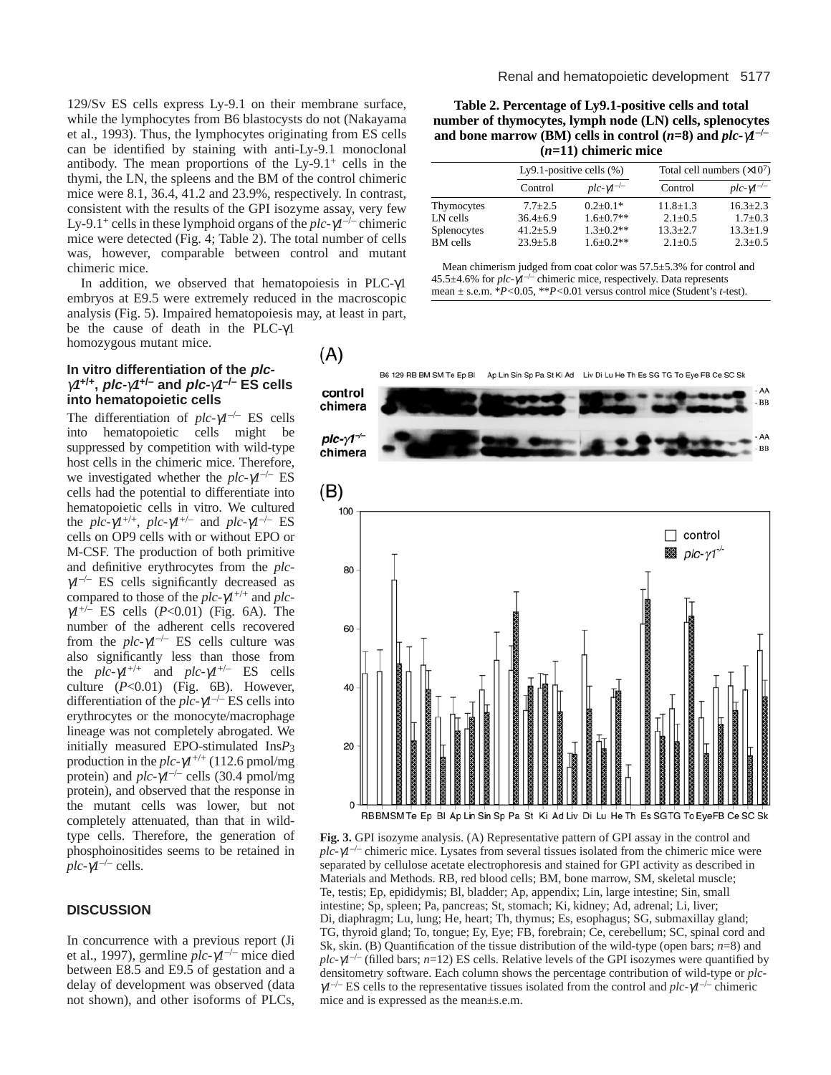129/Sv ES cells express Ly-9.1 on their membrane surface, while the lymphocytes from B6 blastocysts do not (Nakayama et al., 1993). Thus, the lymphocytes originating from ES cells can be identified by staining with anti-Ly-9.1 monoclonal antibody. The mean proportions of the  $Ly-9.1^+$  cells in the thymi, the LN, the spleens and the BM of the control chimeric mice were 8.1, 36.4, 41.2 and 23.9%, respectively. In contrast, consistent with the results of the GPI isozyme assay, very few Ly-9.1+ cells in these lymphoid organs of the *plc-*γ*1*–/– chimeric mice were detected (Fig. 4; Table 2). The total number of cells was, however, comparable between control and mutant chimeric mice.

In addition, we observed that hematopoiesis in PLC-γ1 embryos at E9.5 were extremely reduced in the macroscopic analysis (Fig. 5). Impaired hematopoiesis may, at least in part, be the cause of death in the PLC-γ1 homozygous mutant mice.

#### **In vitro differentiation of the plc**<sup>γ</sup>**<sup>1</sup>+/+, plc-**γ**1+/– and plc-**γ**1–/– ES cells into hematopoietic cells**

The differentiation of  $plc-\gamma l^{-/-}$  ES cells into hematopoietic cells might be suppressed by competition with wild-type host cells in the chimeric mice. Therefore, we investigated whether the *plc-*γ*1*–/– ES cells had the potential to differentiate into hematopoietic cells in vitro. We cultured the  $plc-\gamma l^{+/+}$ ,  $plc-\gamma l^{+/-}$  and  $plc-\gamma l^{-/-}$  ES cells on OP9 cells with or without EPO or M-CSF. The production of both primitive and definitive erythrocytes from the *plc-* $\gamma l^{-/-}$  ES cells significantly decreased as compared to those of the  $plc-\gamma l^{+/+}$  and  $plc$ <sup>γ</sup>*1*+/– ES cells (*P*<0.01) (Fig. 6A). The number of the adherent cells recovered from the  $plc-\gamma l^{-/-}$  ES cells culture was also significantly less than those from the  $plc-\gamma l^{+/+}$  and  $plc-\gamma l^{+/-}$  ES cells culture (*P*<0.01) (Fig. 6B). However, differentiation of the *plc-*γ*1*–/– ES cells into erythrocytes or the monocyte/macrophage lineage was not completely abrogated. We initially measured EPO-stimulated Ins*P*3 production in the  $plc-\gamma l^{+/+}$  (112.6 pmol/mg protein) and  $plc-\gamma l^{-/-}$  cells (30.4 pmol/mg protein), and observed that the response in the mutant cells was lower, but not completely attenuated, than that in wildtype cells. Therefore, the generation of phosphoinositides seems to be retained in  $\rho l c$ - $\gamma l^{-/-}$  cells.

# **DISCUSSION**

In concurrence with a previous report (Ji et al., 1997), germline *plc-*γ*1*–/– mice died between E8.5 and E9.5 of gestation and a delay of development was observed (data not shown), and other isoforms of PLCs,

**Table 2. Percentage of Ly9.1-positive cells and total number of thymocytes, lymph node (LN) cells, splenocytes and bone marrow (BM) cells in control (** $n=8$ **) and**  $plc$ **-** $\gamma l^{-1}$ **(***n***=11) chimeric mice**

|                                | Ly9.1-positive cells $(\% )$ |                                | Total cell numbers $(\times 10^7)$ |                                 |
|--------------------------------|------------------------------|--------------------------------|------------------------------------|---------------------------------|
|                                | Control                      | $plc-\gamma l^{-/-}$           | Control                            | $plc-\gamma l^{-/-}$            |
| Thymocytes                     | $7.7 + 2.5$                  | $0.2+0.1*$                     | $11.8 + 1.3$                       | $16.3 + 2.3$                    |
| LN cells                       | $36.4 + 6.9$                 | $1.6 + 0.7**$                  | $2.1 + 0.5$                        | $1.7 + 0.3$                     |
| Splenocytes<br><b>BM</b> cells | $41.2 + 5.9$<br>$23.9 + 5.8$ | $1.3 + 0.2**$<br>$1.6 + 0.2**$ | $13.3 + 2.7$<br>$2.1 \pm 0.5$      | $13.3 \pm 1.9$<br>$2.3 \pm 0.5$ |

Mean chimerism judged from coat color was 57.5±5.3% for control and 45.5±4.6% for *plc-*γ*1*–/– chimeric mice, respectively. Data represents mean ± s.e.m. \**P<*0.05, \*\**P<*0.01 versus control mice (Student's *t*-test).



**Fig. 3.** GPI isozyme analysis. (A) Representative pattern of GPI assay in the control and  $plc-\gamma I^{-/-}$  chimeric mice. Lysates from several tissues isolated from the chimeric mice were separated by cellulose acetate electrophoresis and stained for GPI activity as described in Materials and Methods. RB, red blood cells; BM, bone marrow, SM, skeletal muscle; Te, testis; Ep, epididymis; Bl, bladder; Ap, appendix; Lin, large intestine; Sin, small intestine; Sp, spleen; Pa, pancreas; St, stomach; Ki, kidney; Ad, adrenal; Li, liver; Di, diaphragm; Lu, lung; He, heart; Th, thymus; Es, esophagus; SG, submaxillay gland; TG, thyroid gland; To, tongue; Ey, Eye; FB, forebrain; Ce, cerebellum; SC, spinal cord and Sk, skin. (B) Quantification of the tissue distribution of the wild-type (open bars; *n*=8) and  $plc$ - $\gamma$ *l*<sup>-/</sup>– (filled bars; *n*=12) ES cells. Relative levels of the GPI isozymes were quantified by densitometry software. Each column shows the percentage contribution of wild-type or *plc*<sup>γ</sup>*1*–/– ES cells to the representative tissues isolated from the control and *plc-*γ*1*–/– chimeric mice and is expressed as the mean±s.e.m.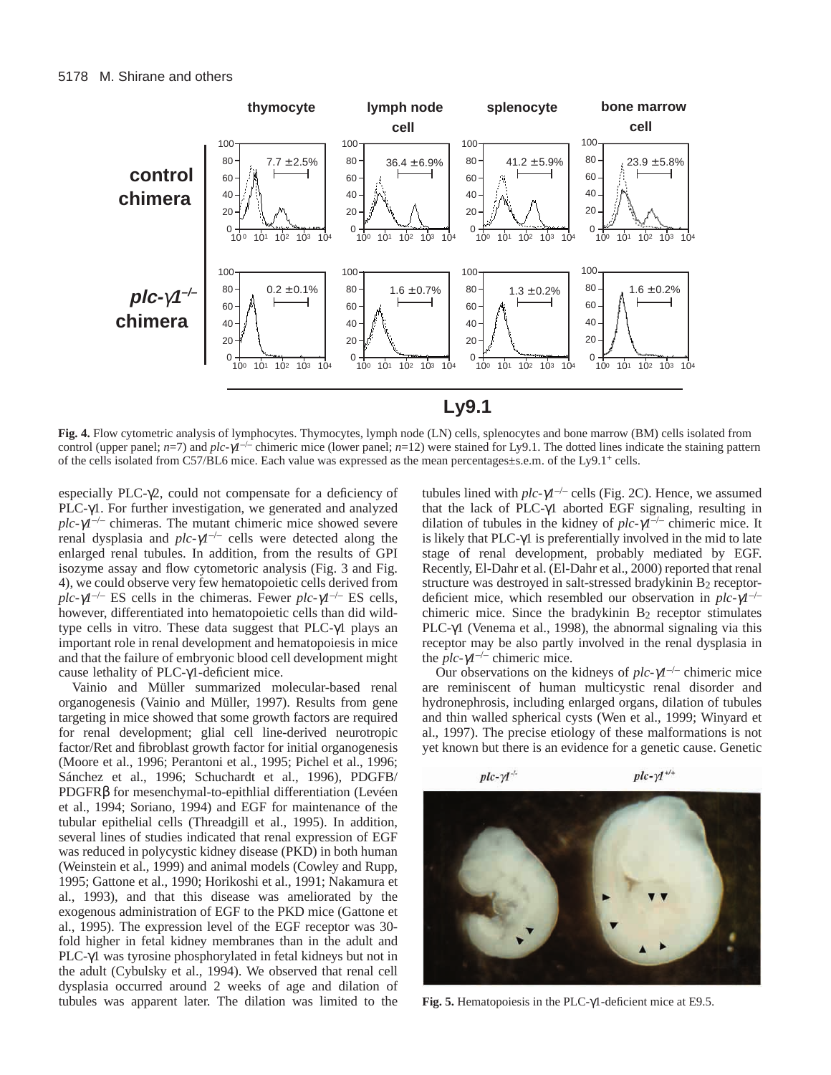

**Fig. 4.** Flow cytometric analysis of lymphocytes. Thymocytes, lymph node (LN) cells, splenocytes and bone marrow (BM) cells isolated from control (upper panel; *n*=7) and *plc-*γ*1*–/– chimeric mice (lower panel; *n*=12) were stained for Ly9.1. The dotted lines indicate the staining pattern of the cells isolated from C57/BL6 mice. Each value was expressed as the mean percentages±s.e.m. of the Ly9.1+ cells.

especially PLC- $\gamma$ 2, could not compensate for a deficiency of PLC-γ1. For further investigation, we generated and analyzed  $plc-\gamma l^{-/-}$  chimeras. The mutant chimeric mice showed severe renal dysplasia and  $plc-\gamma l^{-/-}$  cells were detected along the enlarged renal tubules. In addition, from the results of GPI isozyme assay and flow cytometoric analysis (Fig. 3 and Fig. 4), we could observe very few hematopoietic cells derived from *plc-* $\gamma$ *l*<sup>-/–</sup> ES cells in the chimeras. Fewer *plc-* $\gamma$ *l*<sup>-/–</sup> ES cells, however, differentiated into hematopoietic cells than did wildtype cells in vitro. These data suggest that PLC-γ1 plays an important role in renal development and hematopoiesis in mice and that the failure of embryonic blood cell development might cause lethality of PLC-γ1-deficient mice.

Vainio and Müller summarized molecular-based renal organogenesis (Vainio and Müller, 1997). Results from gene targeting in mice showed that some growth factors are required for renal development; glial cell line-derived neurotropic factor/Ret and fibroblast growth factor for initial organogenesis (Moore et al., 1996; Perantoni et al., 1995; Pichel et al., 1996; Sánchez et al., 1996; Schuchardt et al., 1996), PDGFB/ PDGFRβ for mesenchymal-to-epithlial differentiation (Levéen et al., 1994; Soriano, 1994) and EGF for maintenance of the tubular epithelial cells (Threadgill et al., 1995). In addition, several lines of studies indicated that renal expression of EGF was reduced in polycystic kidney disease (PKD) in both human (Weinstein et al., 1999) and animal models (Cowley and Rupp, 1995; Gattone et al., 1990; Horikoshi et al., 1991; Nakamura et al., 1993), and that this disease was ameliorated by the exogenous administration of EGF to the PKD mice (Gattone et al., 1995). The expression level of the EGF receptor was 30 fold higher in fetal kidney membranes than in the adult and PLC-γ1 was tyrosine phosphorylated in fetal kidneys but not in the adult (Cybulsky et al., 1994). We observed that renal cell dysplasia occurred around 2 weeks of age and dilation of tubules was apparent later. The dilation was limited to the

tubules lined with *plc-*γ*1*–/– cells (Fig. 2C). Hence, we assumed that the lack of PLC-γ1 aborted EGF signaling, resulting in dilation of tubules in the kidney of *plc-*γ*1*–/– chimeric mice. It is likely that PLC-γ1 is preferentially involved in the mid to late stage of renal development, probably mediated by EGF. Recently, El-Dahr et al. (El-Dahr et al., 2000) reported that renal structure was destroyed in salt-stressed bradykinin B<sub>2</sub> receptordeficient mice, which resembled our observation in *plc-*γ*1*–/– chimeric mice. Since the bradykinin  $B_2$  receptor stimulates PLC-γ1 (Venema et al., 1998), the abnormal signaling via this receptor may be also partly involved in the renal dysplasia in the  $plc-\gamma l^{-/-}$  chimeric mice.

Our observations on the kidneys of *plc-*γ*1*–/– chimeric mice are reminiscent of human multicystic renal disorder and hydronephrosis, including enlarged organs, dilation of tubules and thin walled spherical cysts (Wen et al., 1999; Winyard et al., 1997). The precise etiology of these malformations is not yet known but there is an evidence for a genetic cause. Genetic



**Fig. 5.** Hematopoiesis in the PLC-γ1-deficient mice at E9.5.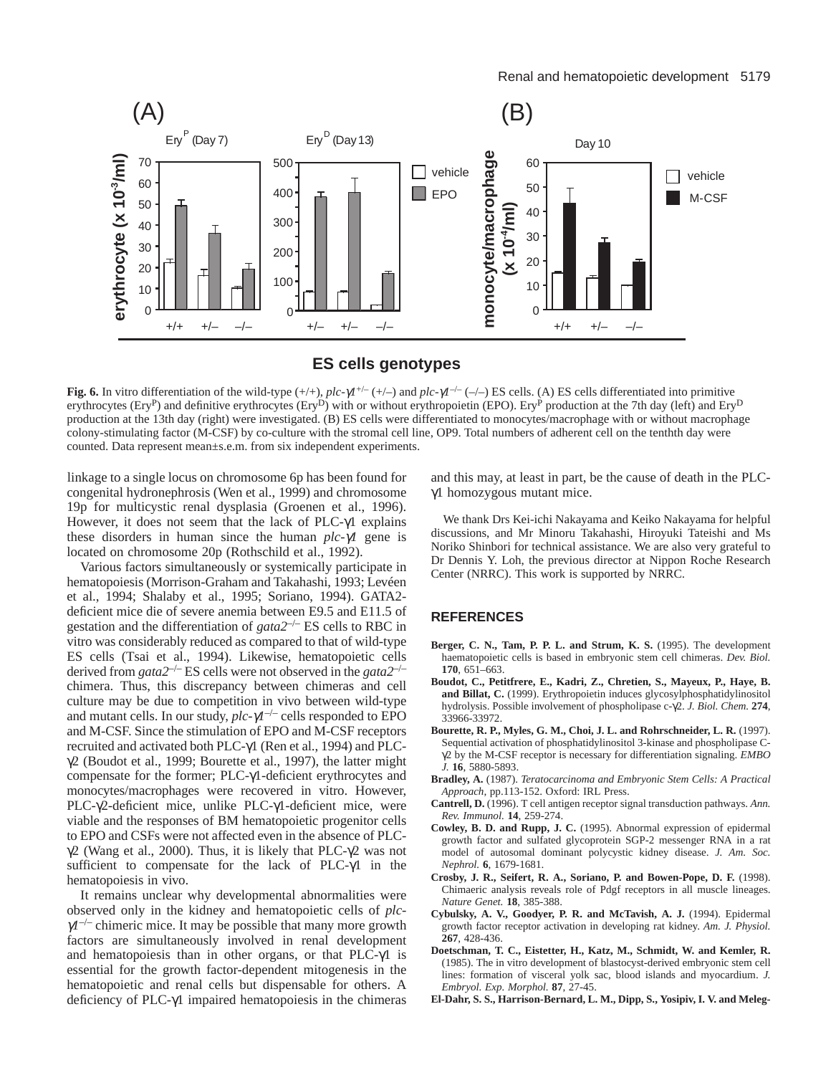

**ES cells genotypes**

**Fig. 6.** In vitro differentiation of the wild-type  $(++),$  *plc-* $\gamma$ *l*<sup>+/-</sup> $(+)$  and *plc-* $\gamma$ *l*<sup>-/-</sup> $(-)$  ES cells. (A) ES cells differentiated into primitive erythrocytes (Ery<sup>P</sup>) and definitive erythrocytes (Ery<sup>D</sup>) with or without erythropoietin (EPO). Ery<sup>P</sup> production at the 7th day (left) and Ery<sup>D</sup> production at the 13th day (right) were investigated. (B) ES cells were differentiated to monocytes/macrophage with or without macrophage colony-stimulating factor (M-CSF) by co-culture with the stromal cell line, OP9. Total numbers of adherent cell on the tenthth day were counted. Data represent mean±s.e.m. from six independent experiments.

linkage to a single locus on chromosome 6p has been found for congenital hydronephrosis (Wen et al., 1999) and chromosome 19p for multicystic renal dysplasia (Groenen et al., 1996). However, it does not seem that the lack of PLC-γ1 explains these disorders in human since the human *plc-*γ*1* gene is located on chromosome 20p (Rothschild et al., 1992).

Various factors simultaneously or systemically participate in hematopoiesis (Morrison-Graham and Takahashi, 1993; Levéen et al., 1994; Shalaby et al., 1995; Soriano, 1994). GATA2 deficient mice die of severe anemia between E9.5 and E11.5 of gestation and the differentiation of *gata2*–/– ES cells to RBC in vitro was considerably reduced as compared to that of wild-type ES cells (Tsai et al., 1994). Likewise, hematopoietic cells derived from *gata2*–/– ES cells were not observed in the *gata2*–/– chimera. Thus, this discrepancy between chimeras and cell culture may be due to competition in vivo between wild-type and mutant cells. In our study,  $plc-\gamma l^{-/-}$  cells responded to EPO and M-CSF. Since the stimulation of EPO and M-CSF receptors recruited and activated both PLC-γ1 (Ren et al., 1994) and PLC- $\gamma$ 2 (Boudot et al., 1999; Bourette et al., 1997), the latter might compensate for the former; PLC-γ1-deficient erythrocytes and monocytes/macrophages were recovered in vitro. However, PLC-γ2-deficient mice, unlike PLC-γ1-deficient mice, were viable and the responses of BM hematopoietic progenitor cells to EPO and CSFs were not affected even in the absence of PLC $γ2$  (Wang et al., 2000). Thus, it is likely that PLC- $γ2$  was not sufficient to compensate for the lack of PLC-γ1 in the hematopoiesis in vivo.

It remains unclear why developmental abnormalities were observed only in the kidney and hematopoietic cells of *plc-* $\gamma l^{-/-}$  chimeric mice. It may be possible that many more growth factors are simultaneously involved in renal development and hematopoiesis than in other organs, or that PLC-γ1 is essential for the growth factor-dependent mitogenesis in the hematopoietic and renal cells but dispensable for others. A deficiency of PLC-γ1 impaired hematopoiesis in the chimeras

and this may, at least in part, be the cause of death in the PLCγ1 homozygous mutant mice.

We thank Drs Kei-ichi Nakayama and Keiko Nakayama for helpful discussions, and Mr Minoru Takahashi, Hiroyuki Tateishi and Ms Noriko Shinbori for technical assistance. We are also very grateful to Dr Dennis Y. Loh, the previous director at Nippon Roche Research Center (NRRC). This work is supported by NRRC.

## **REFERENCES**

- Berger, C. N., Tam, P. P. L. and Strum, K. S. (1995). The development haematopoietic cells is based in embryonic stem cell chimeras. *Dev. Biol.* **170**, 651–663.
- **Boudot, C., Petitfrere, E., Kadri, Z., Chretien, S., Mayeux, P., Haye, B. and Billat, C.** (1999). Erythropoietin induces glycosylphosphatidylinositol hydrolysis. Possible involvement of phospholipase c-γ2. *J. Biol. Chem.* **274**, 33966-33972.
- **Bourette, R. P., Myles, G. M., Choi, J. L. and Rohrschneider, L. R.** (1997). Sequential activation of phosphatidylinositol 3-kinase and phospholipase Cγ2 by the M-CSF receptor is necessary for differentiation signaling. *EMBO J.* **16**, 5880-5893.
- **Bradley, A.** (1987). *Teratocarcinoma and Embryonic Stem Cells: A Practical Approach*, pp.113-152. Oxford: IRL Press.
- **Cantrell, D.** (1996). T cell antigen receptor signal transduction pathways. *Ann. Rev. Immunol.* **14**, 259-274.
- **Cowley, B. D. and Rupp, J. C.** (1995). Abnormal expression of epidermal growth factor and sulfated glycoprotein SGP-2 messenger RNA in a rat model of autosomal dominant polycystic kidney disease. *J. Am. Soc. Nephrol.* **6**, 1679-1681.
- **Crosby, J. R., Seifert, R. A., Soriano, P. and Bowen-Pope, D. F.** (1998). Chimaeric analysis reveals role of Pdgf receptors in all muscle lineages. *Nature Genet.* **18**, 385-388.
- **Cybulsky, A. V., Goodyer, P. R. and McTavish, A. J.** (1994). Epidermal growth factor receptor activation in developing rat kidney. *Am. J. Physiol.* **267**, 428-436.
- **Doetschman, T. C., Eistetter, H., Katz, M., Schmidt, W. and Kemler, R.** (1985). The in vitro development of blastocyst-derived embryonic stem cell lines: formation of visceral yolk sac, blood islands and myocardium. *J. Embryol. Exp. Morphol.* **87**, 27-45.
- **El-Dahr, S. S., Harrison-Bernard, L. M., Dipp, S., Yosipiv, I. V. and Meleg-**